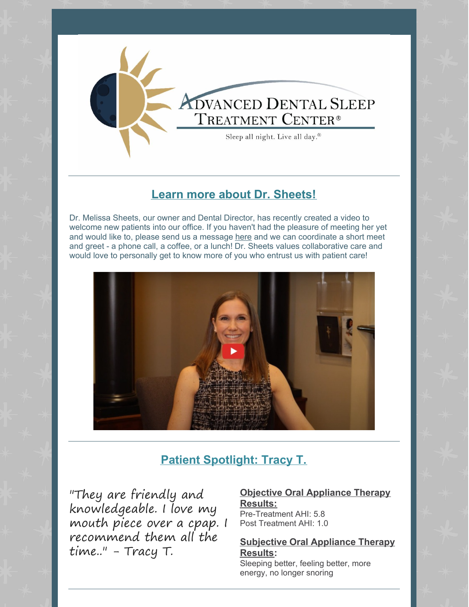

## **Learn more about Dr. [Sheets!](https://www.whywesnore.com/welcome/)**

Dr. Melissa Sheets, our owner and Dental Director, has recently created a video to welcome new patients into our office. If you haven't had the pleasure of meeting her yet and would like to, please send us a message [here](mailto:brea@whywesnore.com) and we can coordinate a short meet and greet - a phone call, a coffee, or a lunch! Dr. Sheets values collaborative care and would love to personally get to know more of you who entrust us with patient care!



## **Patient [Spotlight:](https://www.whywesnore.com/reviews/) Tracy T.**

"They are friendly and knowledgeable. I love my mouth piece over a cpap. I recommend them all the time.." - Tracy T.

**Objective Oral Appliance Therapy Results:** Pre-Treatment AHI: 5.8 Post Treatment AHI: 1.0

**Subjective Oral Appliance Therapy Results:**

Sleeping better, feeling better, more energy, no longer snoring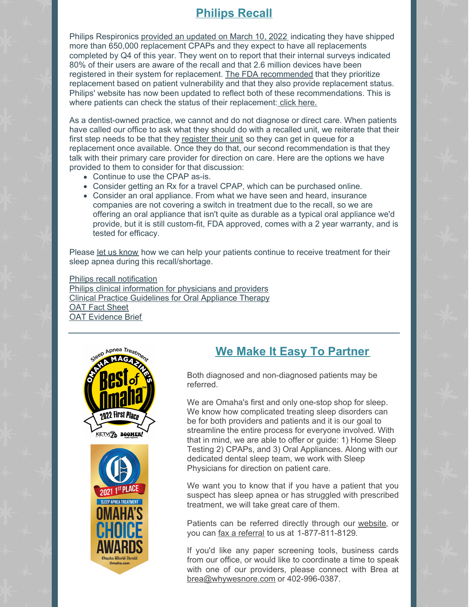## **[Philips](https://www.usa.philips.com/healthcare/e/sleep/communications/src-update) Recall**

Philips Respironics [provided](https://sleepreviewmag.com/sleep-treatments/therapy-devices/cpap-pap-devices/philips-recall-650000-replacements-shipped/) an updated on March 10, 2022 indicating they have shipped more than 650,000 replacement CPAPs and they expect to have all replacements completed by Q4 of this year. They went on to report that their internal surveys indicated 80% of their users are aware of the recall and that 2.6 million devices have been registered in their system for replacement. The FDA [recommended](https://sleepreviewmag.com/sleep-treatments/therapy-devices/cpap-pap-devices/fda-philips-prioritize-cpap-recall-replacements/) that they prioritize replacement based on patient vulnerability and that they also provide replacement status. Philips' website has now been updated to reflect both of these recommendations. This is where patients can check the status of their replacement: click [here.](https://www.philipspatientportal.expertinquiry.com/?ulang=en)

As a dentist-owned practice, we cannot and do not diagnose or direct care. When patients have called our office to ask what they should do with a recalled unit, we reiterate that their first step needs to be that they [register](https://www.philipssrcupdate.expertinquiry.com/) their unit so they can get in queue for a replacement once available. Once they do that, our second recommendation is that they talk with their primary care provider for direction on care. Here are the options we have provided to them to consider for that discussion:

- Continue to use the CPAP as-is.
- Consider getting an Rx for a travel CPAP, which can be purchased online.
- Consider an oral appliance. From what we have seen and heard, insurance companies are not covering a switch in treatment due to the recall, so we are offering an oral appliance that isn't quite as durable as a typical oral appliance we'd provide, but it is still custom-fit, FDA approved, comes with a 2 year warranty, and is tested for efficacy.

Please let us [know](mailto:brea@whywesnore.com) how we can help your patients continue to receive treatment for their sleep apnea during this recall/shortage.

Philips recall [notification](https://www.usa.philips.com/healthcare/e/sleep/communications/src-update) Philips clinical [information](https://www.philips.com/c-dam/b2bhc/master/landing-pages/src/update/documents/philips-recall-clinical-information-for-physicians-and-providers.pdf?_ga=2.257003267.92470684.1623768502-1512375741.1623768502&_gl=1*12gl8fe*_ga*MTUxMjM3NTc0MS4xNjIzNzY4NTAy*_ga_2NMXNNS6LE*MTYyMzc2ODUwMi4xLjEuMTYyMzc2OTM0NS42MA) for physicians and providers Clinical Practice [Guidelines](https://aasm.org/resources/clinicalguidelines/oral_appliance-osa.pdf) for Oral Appliance Therapy OAT Fact [Sheet](https://www.aadsm.org/docs/Myths_of_OAT_for_OSA_FINAL.pdf) OAT [Evidence](https://www.aadsm.org/docs/AADSM_Evidence_Brief_6.18.2021.pdf) Brief



## **We Make It Easy To [Partner](https://www.whywesnore.com/providers/)**

Both diagnosed and non-diagnosed patients may be referred.

We are Omaha's first and only one-stop shop for sleep. We know how complicated treating sleep disorders can be for both providers and patients and it is our goal to streamline the entire process for everyone involved. With that in mind, we are able to offer or guide: 1) Home Sleep Testing 2) CPAPs, and 3) Oral Appliances. Along with our dedicated dental sleep team, we work with Sleep Physicians for direction on patient care.

We want you to know that if you have a patient that you suspect has sleep apnea or has struggled with prescribed treatment, we will take great care of them.

Patients can be referred directly through our [website](https://www.whywesnore.com/providers/), or you can fax a [referral](https://files.constantcontact.com/b949a600701/c660fc12-4858-44f1-a861-e7372ea6939e.pdf?rdr=true) to us at [1-877-811-8129](https://em-ui.constantcontact.com/em-ui/em/page/em-ui/email#).

If you'd like any paper screening tools, business cards from our office, or would like to coordinate a time to speak with one of our providers, please connect with Brea at [brea@whywesnore.com](mailto:brea@whywesnore.com) or 402-996-0387.